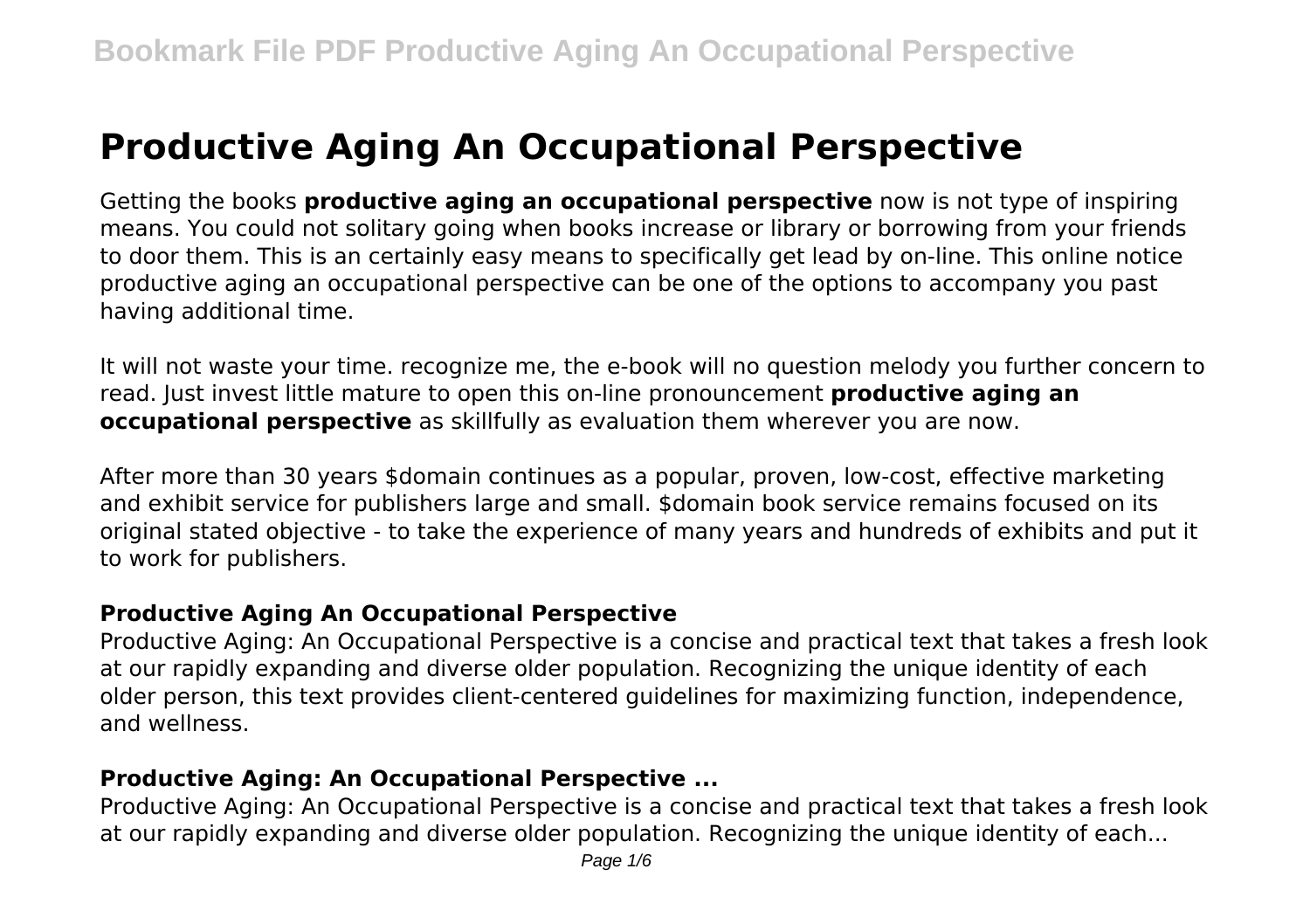# **Productive Aging An Occupational Perspective**

Getting the books **productive aging an occupational perspective** now is not type of inspiring means. You could not solitary going when books increase or library or borrowing from your friends to door them. This is an certainly easy means to specifically get lead by on-line. This online notice productive aging an occupational perspective can be one of the options to accompany you past having additional time.

It will not waste your time. recognize me, the e-book will no question melody you further concern to read. Just invest little mature to open this on-line pronouncement **productive aging an occupational perspective** as skillfully as evaluation them wherever you are now.

After more than 30 years \$domain continues as a popular, proven, low-cost, effective marketing and exhibit service for publishers large and small. \$domain book service remains focused on its original stated objective - to take the experience of many years and hundreds of exhibits and put it to work for publishers.

#### **Productive Aging An Occupational Perspective**

Productive Aging: An Occupational Perspective is a concise and practical text that takes a fresh look at our rapidly expanding and diverse older population. Recognizing the unique identity of each older person, this text provides client-centered guidelines for maximizing function, independence, and wellness.

# **Productive Aging: An Occupational Perspective ...**

Productive Aging: An Occupational Perspective is a concise and practical text that takes a fresh look at our rapidly expanding and diverse older population. Recognizing the unique identity of each...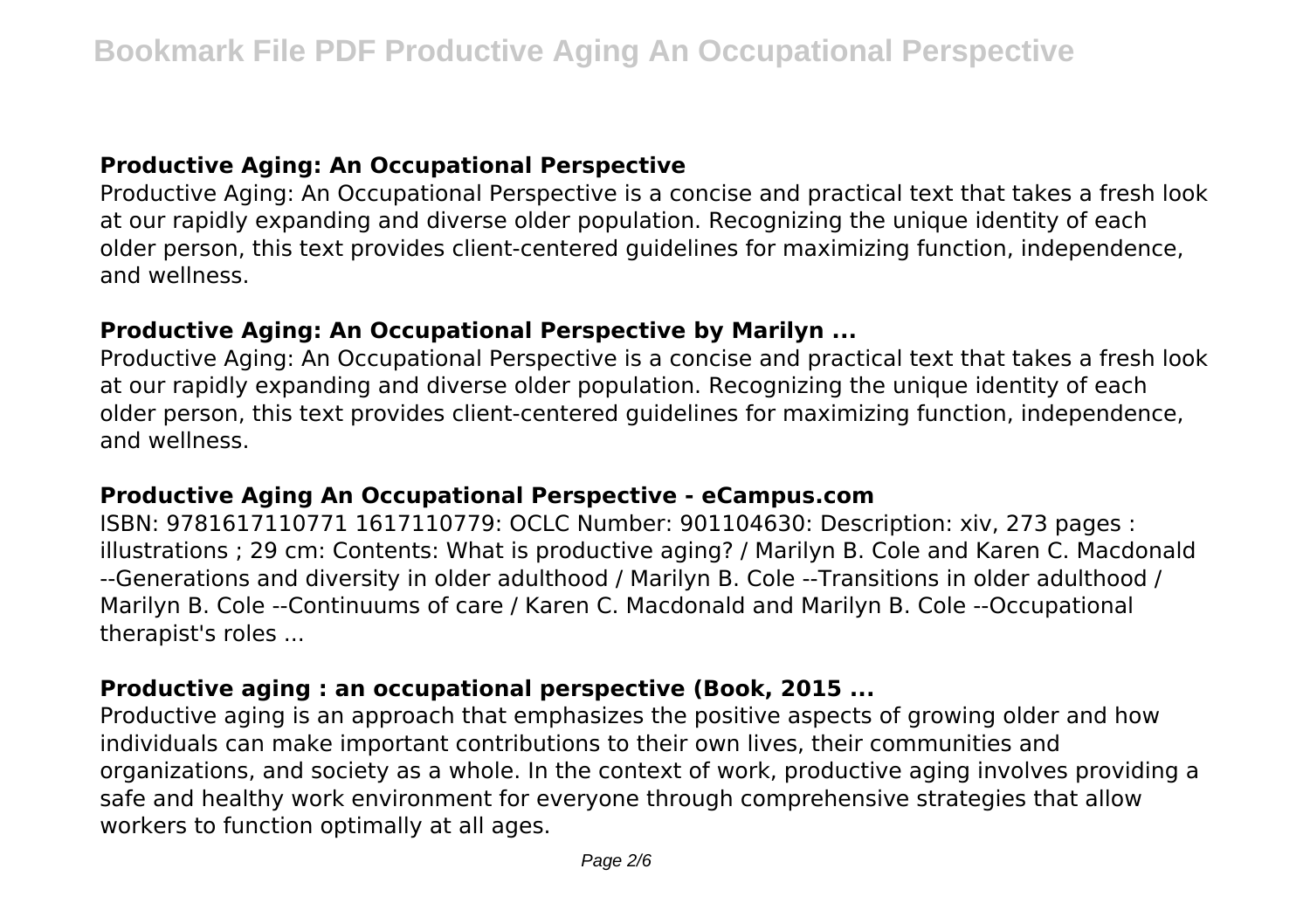#### **Productive Aging: An Occupational Perspective**

Productive Aging: An Occupational Perspective is a concise and practical text that takes a fresh look at our rapidly expanding and diverse older population. Recognizing the unique identity of each older person, this text provides client-centered guidelines for maximizing function, independence, and wellness.

#### **Productive Aging: An Occupational Perspective by Marilyn ...**

Productive Aging: An Occupational Perspective is a concise and practical text that takes a fresh look at our rapidly expanding and diverse older population. Recognizing the unique identity of each older person, this text provides client-centered guidelines for maximizing function, independence, and wellness.

#### **Productive Aging An Occupational Perspective - eCampus.com**

ISBN: 9781617110771 1617110779: OCLC Number: 901104630: Description: xiv, 273 pages : illustrations ; 29 cm: Contents: What is productive aging? / Marilyn B. Cole and Karen C. Macdonald --Generations and diversity in older adulthood / Marilyn B. Cole --Transitions in older adulthood / Marilyn B. Cole --Continuums of care / Karen C. Macdonald and Marilyn B. Cole --Occupational therapist's roles ...

#### **Productive aging : an occupational perspective (Book, 2015 ...**

Productive aging is an approach that emphasizes the positive aspects of growing older and how individuals can make important contributions to their own lives, their communities and organizations, and society as a whole. In the context of work, productive aging involves providing a safe and healthy work environment for everyone through comprehensive strategies that allow workers to function optimally at all ages.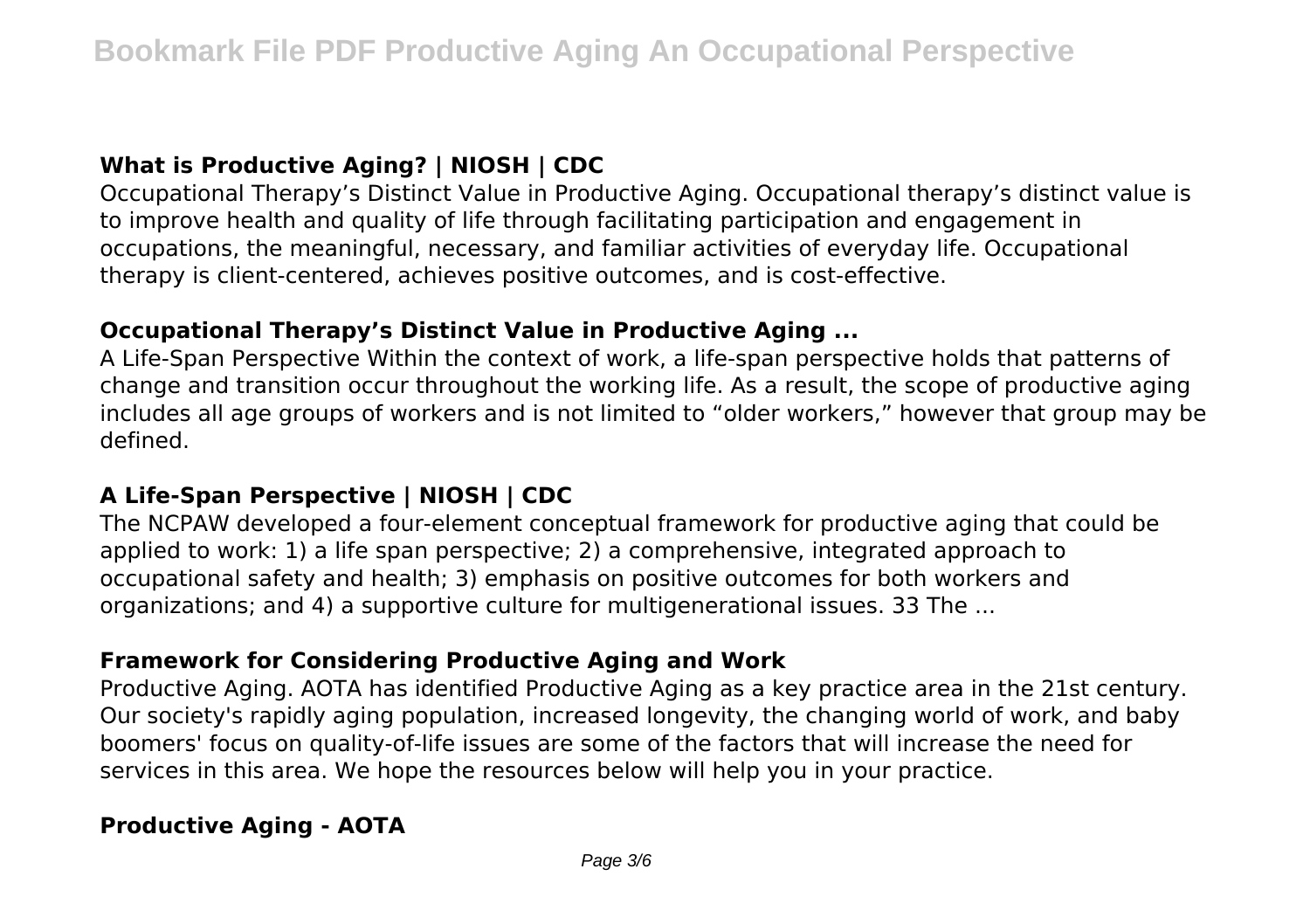# **What is Productive Aging? | NIOSH | CDC**

Occupational Therapy's Distinct Value in Productive Aging. Occupational therapy's distinct value is to improve health and quality of life through facilitating participation and engagement in occupations, the meaningful, necessary, and familiar activities of everyday life. Occupational therapy is client-centered, achieves positive outcomes, and is cost-effective.

#### **Occupational Therapy's Distinct Value in Productive Aging ...**

A Life-Span Perspective Within the context of work, a life-span perspective holds that patterns of change and transition occur throughout the working life. As a result, the scope of productive aging includes all age groups of workers and is not limited to "older workers," however that group may be defined.

## **A Life-Span Perspective | NIOSH | CDC**

The NCPAW developed a four-element conceptual framework for productive aging that could be applied to work: 1) a life span perspective; 2) a comprehensive, integrated approach to occupational safety and health; 3) emphasis on positive outcomes for both workers and organizations; and 4) a supportive culture for multigenerational issues. 33 The ...

#### **Framework for Considering Productive Aging and Work**

Productive Aging. AOTA has identified Productive Aging as a key practice area in the 21st century. Our society's rapidly aging population, increased longevity, the changing world of work, and baby boomers' focus on quality-of-life issues are some of the factors that will increase the need for services in this area. We hope the resources below will help you in your practice.

## **Productive Aging - AOTA**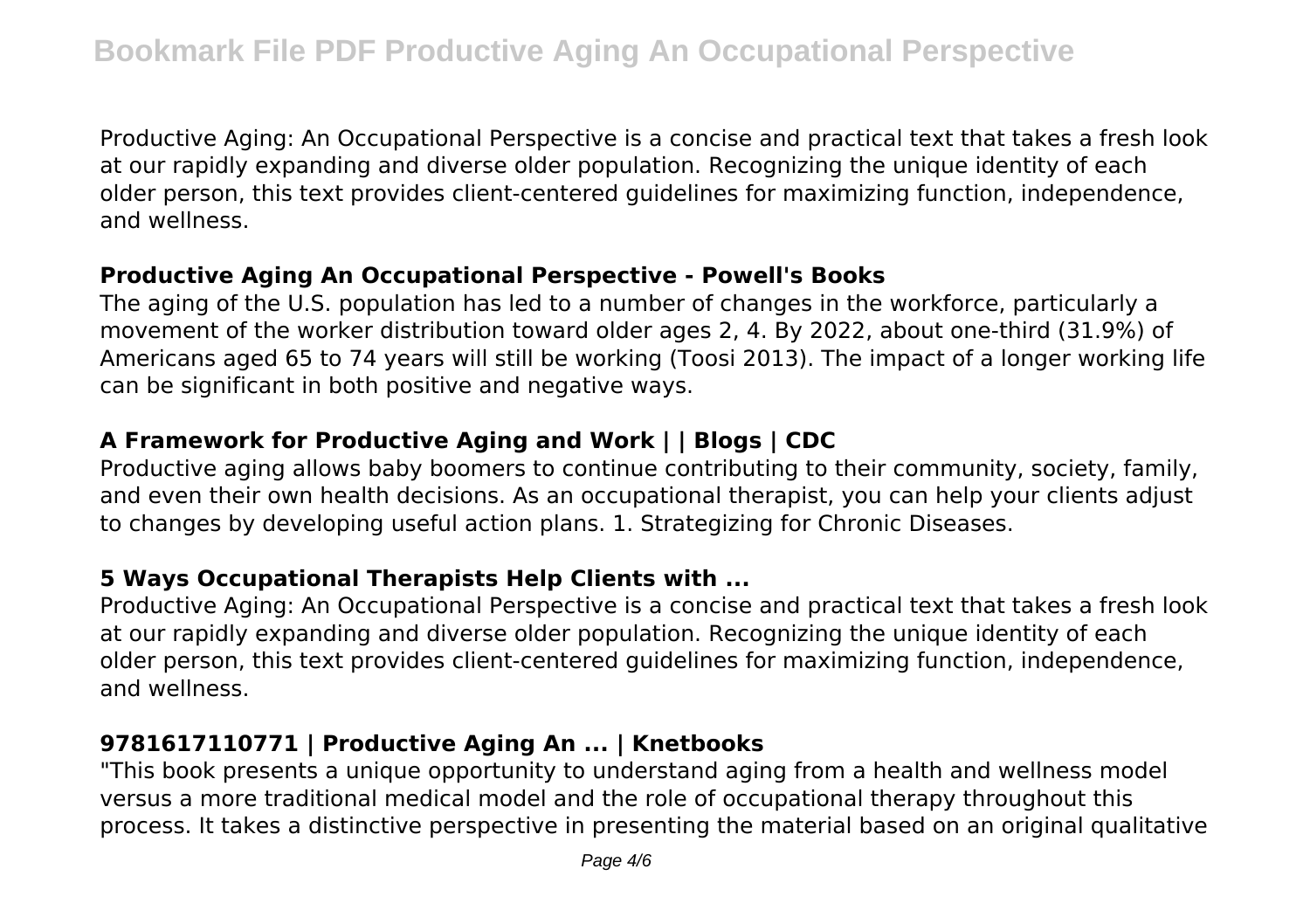Productive Aging: An Occupational Perspective is a concise and practical text that takes a fresh look at our rapidly expanding and diverse older population. Recognizing the unique identity of each older person, this text provides client-centered guidelines for maximizing function, independence, and wellness.

#### **Productive Aging An Occupational Perspective - Powell's Books**

The aging of the U.S. population has led to a number of changes in the workforce, particularly a movement of the worker distribution toward older ages 2, 4. By 2022, about one-third (31.9%) of Americans aged 65 to 74 years will still be working (Toosi 2013). The impact of a longer working life can be significant in both positive and negative ways.

# **A Framework for Productive Aging and Work | | Blogs | CDC**

Productive aging allows baby boomers to continue contributing to their community, society, family, and even their own health decisions. As an occupational therapist, you can help your clients adjust to changes by developing useful action plans. 1. Strategizing for Chronic Diseases.

# **5 Ways Occupational Therapists Help Clients with ...**

Productive Aging: An Occupational Perspective is a concise and practical text that takes a fresh look at our rapidly expanding and diverse older population. Recognizing the unique identity of each older person, this text provides client-centered guidelines for maximizing function, independence, and wellness.

## **9781617110771 | Productive Aging An ... | Knetbooks**

"This book presents a unique opportunity to understand aging from a health and wellness model versus a more traditional medical model and the role of occupational therapy throughout this process. It takes a distinctive perspective in presenting the material based on an original qualitative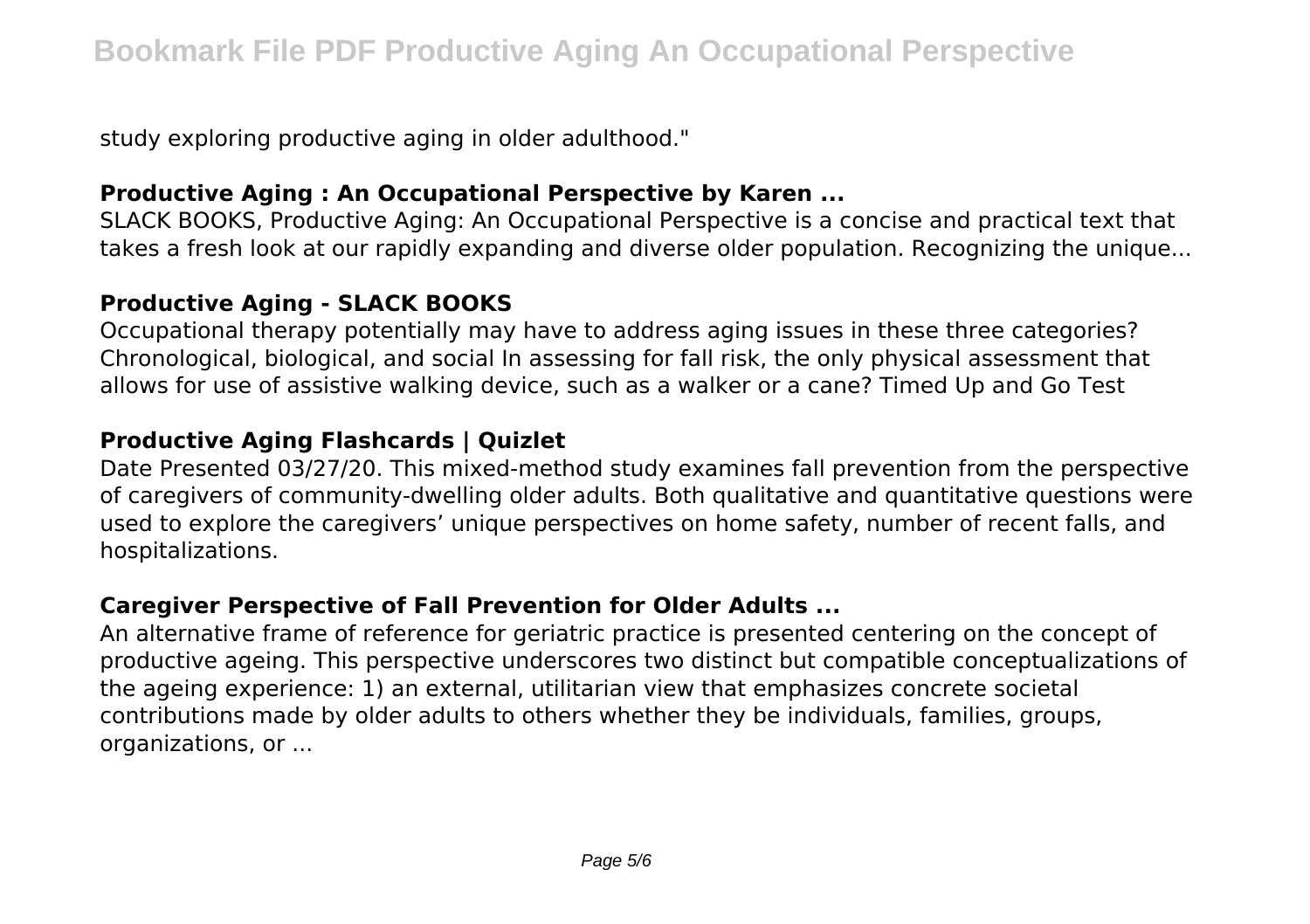study exploring productive aging in older adulthood."

## **Productive Aging : An Occupational Perspective by Karen ...**

SLACK BOOKS, Productive Aging: An Occupational Perspective is a concise and practical text that takes a fresh look at our rapidly expanding and diverse older population. Recognizing the unique...

#### **Productive Aging - SLACK BOOKS**

Occupational therapy potentially may have to address aging issues in these three categories? Chronological, biological, and social In assessing for fall risk, the only physical assessment that allows for use of assistive walking device, such as a walker or a cane? Timed Up and Go Test

# **Productive Aging Flashcards | Quizlet**

Date Presented 03/27/20. This mixed-method study examines fall prevention from the perspective of caregivers of community-dwelling older adults. Both qualitative and quantitative questions were used to explore the caregivers' unique perspectives on home safety, number of recent falls, and hospitalizations.

## **Caregiver Perspective of Fall Prevention for Older Adults ...**

An alternative frame of reference for geriatric practice is presented centering on the concept of productive ageing. This perspective underscores two distinct but compatible conceptualizations of the ageing experience: 1) an external, utilitarian view that emphasizes concrete societal contributions made by older adults to others whether they be individuals, families, groups, organizations, or ...